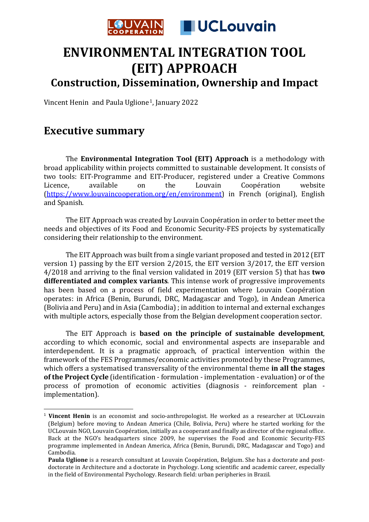

## **ENVIRONMENTAL INTEGRATION TOOL (EIT) APPROACH**

**Construction, Dissemination, Ownership and Impact**

Vincent Henin and Paula Uglione[1,](#page-0-0) January 2022

## **Executive summary**

The **Environmental Integration Tool (EIT) Approach** is a methodology with broad applicability within projects committed to sustainable development. It consists of two tools: EIT-Programme and EIT-Producer, registered under a Creative Commons<br>Licence, available on the Louvain Coopération website Licence, available on the Louvain Coopération website [\(https://www.louvaincooperation.org/en/environment\)](https://www.louvaincooperation.org/en/environment) in French (original), English and Spanish.

The EIT Approach was created by Louvain Coopération in order to better meet the needs and objectives of its Food and Economic Security-FES projects by systematically considering their relationship to the environment.

The EIT Approach was built from a single variant proposed and tested in 2012 (EIT version 1) passing by the EIT version 2/2015, the EIT version 3/2017, the EIT version 4/2018 and arriving to the final version validated in 2019 (EIT version 5) that has **two differentiated and complex variants**. This intense work of progressive improvements has been based on a process of field experimentation where Louvain Coopération operates: in Africa (Benin, Burundi, DRC, Madagascar and Togo), in Andean America (Bolivia and Peru) and in Asia (Cambodia) ; in addition to internal and external exchanges with multiple actors, especially those from the Belgian development cooperation sector.

The EIT Approach is **based on the principle of sustainable development**, according to which economic, social and environmental aspects are inseparable and interdependent. It is a pragmatic approach, of practical intervention within the framework of the FES Programmes/economic activities promoted by these Programmes, which offers a systematised transversality of the environmental theme **in all the stages of the Project Cycle** (identification - formulation - implementation - evaluation) or of the process of promotion of economic activities (diagnosis - reinforcement plan implementation).

<span id="page-0-0"></span><sup>1</sup> **Vincent Henin** is an economist and socio-anthropologist. He worked as a researcher at UCLouvain (Belgium) before moving to Andean America (Chile, Bolivia, Peru) where he started working for the UCLouvain NGO, Louvain Coopération, initially as a cooperant and finally as director of the regional office. Back at the NGO's headquarters since 2009, he supervises the Food and Economic Security-FES programme implemented in Andean America, Africa (Benin, Burundi, DRC, Madagascar and Togo) and Cambodia.

**Paula Uglione** is a research consultant at Louvain Coopération, Belgium. She has a doctorate and postdoctorate in Architecture and a doctorate in Psychology. Long scientific and academic career, especially in the field of Environmental Psychology. Research field: urban peripheries in Brazil.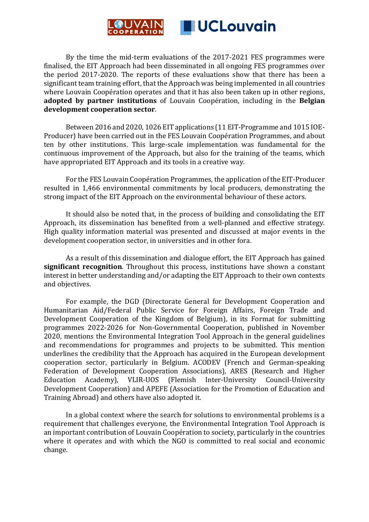

By the time the mid-term evaluations of the 2017-2021 FES programmes were finalised, the EIT Approach had been disseminated in all ongoing FES programmes over the period 2017-2020. The reports of these evaluations show that there has been a significant team training effort, that the Approach was being implemented in all countries where Louvain Coopération operates and that it has also been taken up in other regions, **adopted by partner institutions** of Louvain Coopération, including in the **Belgian development cooperation sector**.

Between 2016 and 2020, 1026 EIT applications (11 EIT-Programme and 1015 IOE-Producer) have been carried out in the FES Louvain Coopération Programmes, and about ten by other institutions. This large-scale implementation was fundamental for the continuous improvement of the Approach, but also for the training of the teams, which have appropriated EIT Approach and its tools in a creative way.

For the FES Louvain Coopération Programmes, the application of the EIT-Producer resulted in 1,466 environmental commitments by local producers, demonstrating the strong impact of the EIT Approach on the environmental behaviour of these actors.

It should also be noted that, in the process of building and consolidating the EIT Approach, its dissemination has benefited from a well-planned and effective strategy. High quality information material was presented and discussed at major events in the development cooperation sector, in universities and in other fora.

As a result of this dissemination and dialogue effort, the EIT Approach has gained **significant recognition**. Throughout this process, institutions have shown a constant interest in better understanding and/or adapting the EIT Approach to their own contexts and objectives.

For example, the DGD (Directorate General for Development Cooperation and Humanitarian Aid/Federal Public Service for Foreign Affairs, Foreign Trade and Development Cooperation of the Kingdom of Belgium), in its Format for submitting programmes 2022-2026 for Non-Governmental Cooperation, published in November 2020, mentions the Environmental Integration Tool Approach in the general guidelines and recommendations for programmes and projects to be submitted. This mention underlines the credibility that the Approach has acquired in the European development cooperation sector, particularly in Belgium. ACODEV (French and German-speaking Federation of Development Cooperation Associations), ARES (Research and Higher Education Academy), VLIR-UOS (Flemish Inter-University Council-University (Flemish Inter-University Development Cooperation) and APEFE (Association for the Promotion of Education and Training Abroad) and others have also adopted it.

In a global context where the search for solutions to environmental problems is a requirement that challenges everyone, the Environmental Integration Tool Approach is an important contribution of Louvain Coopération to society, particularly in the countries where it operates and with which the NGO is committed to real social and economic change.